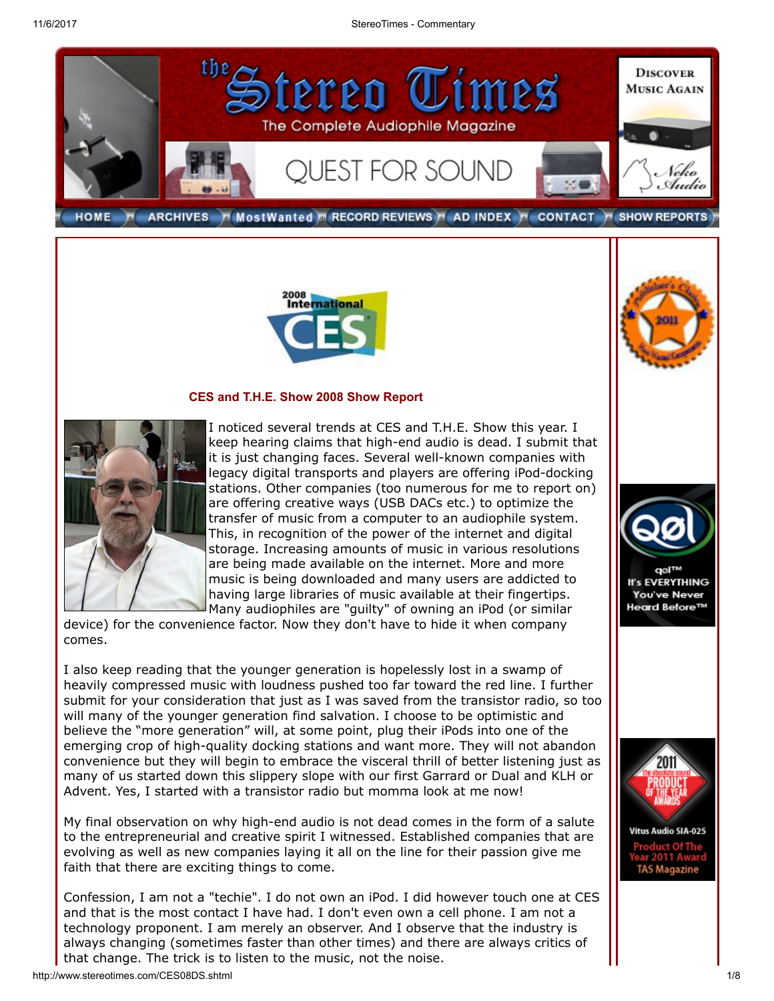11/6/2017 StereoTimes - Commentary



**ARCHIVES** MostWanted **RECORD REVIEWS A AD INDEX A** CONTACT **A** SHOW REPORTS



## CES and T.H.E. Show 2008 Show Report



I noticed several trends at CES and T.H.E. Show this year. I keep hearing claims that high-end audio is dead. I submit that it is just changing faces. Several well-known companies with legacy digital transports and players are offering iPod-docking stations. Other companies (too numerous for me to report on) are offering creative ways (USB DACs etc.) to optimize the transfer of music from a computer to an audiophile system. This, in recognition of the power of the internet and digital storage. Increasing amounts of music in various resolutions are being made available on the internet. More and more music is being downloaded and many users are addicted to having large libraries of music available at their fingertips. Many audiophiles are "guilty" of owning an iPod (or similar

device) for the convenience factor. Now they don't have to hide it when company comes.

I also keep reading that the younger generation is hopelessly lost in a swamp of heavily compressed music with loudness pushed too far toward the red line. I further submit for your consideration that just as I was saved from the transistor radio, so too will many of the younger generation find salvation. I choose to be optimistic and believe the "more generation" will, at some point, plug their iPods into one of the emerging crop of high-quality docking stations and want more. They will not abandon convenience but they will begin to embrace the visceral thrill of better listening just as many of us started down this slippery slope with our first Garrard or Dual and KLH or Advent. Yes, I started with a transistor radio but momma look at me now!

My final observation on why high-end audio is not dead comes in the form of a salute to the entrepreneurial and creative spirit I witnessed. Established companies that are evolving as well as new companies laying it all on the line for their passion give me faith that there are exciting things to come.

Confession, I am not a "techie". I do not own an iPod. I did however touch one at CES and that is the most contact I have had. I don't even own a cell phone. I am not a technology proponent. I am merely an observer. And I observe that the industry is always changing (sometimes faster than other times) and there are always critics of that change. The trick is to listen to the music, not the noise.

**If's EVERYTHING You've Never** Heard Before™

**Vitus Audio SIA-025** 

TAS Magazine